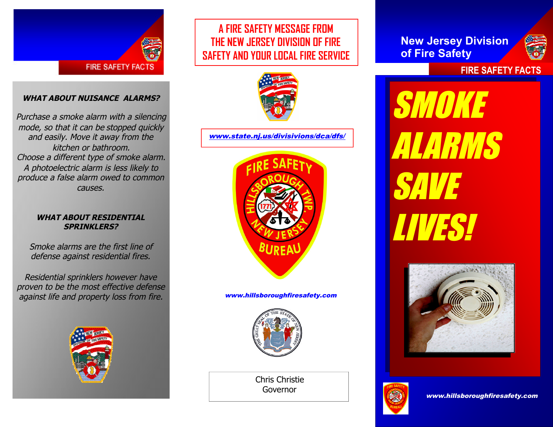

#### **WHAT ABOUT NUISANCE ALARMS?**

Purchase <sup>a</sup> smoke alarm with <sup>a</sup> silencing mode, so that it can be stopped quickly and easily. Move it away from the kitchen or bathroom. Choose <sup>a</sup> different type of smoke alarm. A photoelectric alarm is less likely to produce <sup>a</sup> false alarm owed to common causes.

#### **WHAT ABOUT RESIDENTIAL SPRINKLERS?**

Smoke alarms are the first line of defense against residential fires.

Residential sprinklers however have proven to be the most effective defense against life and property loss from fire.



### **A FIRE SAFETY MESSAGE FROM THE NEW JERSEY DIVISION OF FIRE SAFETY AND YOUR LOCAL FIRE SERVICE**



www.state.nj.us/divisivions/dca/dfs/



www.hillsboroughfiresafety.com



Chris Christie Governor

**New Jersey Division of Fire Safety**



**FIRE SAFETY FACTS**

SMOK ALARMS SAVE **VANIS**